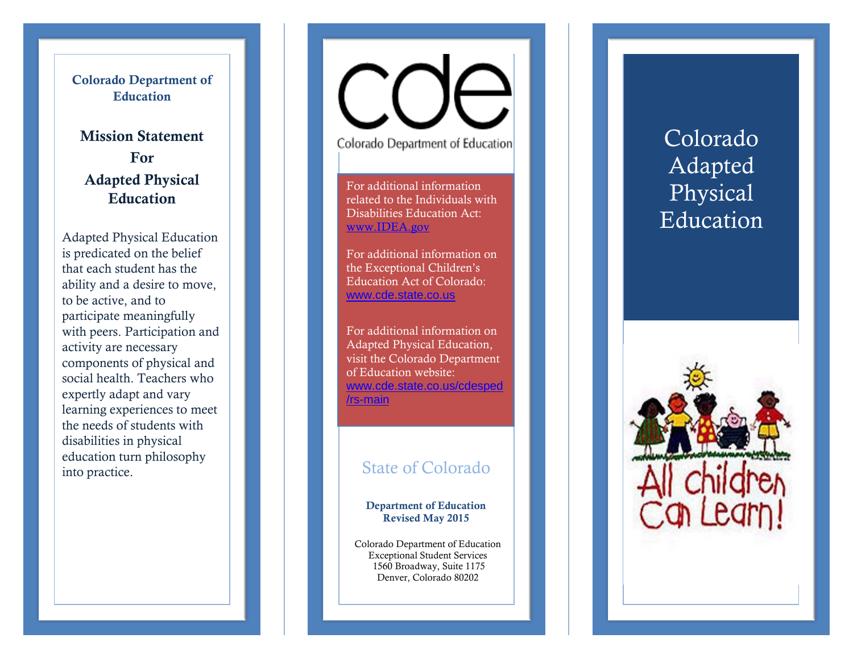### **Colorado Department of Education**

## **Mission Statement For Adapted Physical Education**

Adapted Physical Education is predicated on the belief that each student has the ability and a desire to move, to be active, and to participate meaningfully with peers. Participation and activity are necessary components of physical and social health. Teachers who expertly adapt and vary learning experiences to meet the needs of students with disabilities in physical education turn philosophy into practice. State of Colorado

Colorado Department of Education

For additional information related to the Individuals with Disabilities Education Act: [www.IDEA.gov](http://www.idea.gov/)

For additional information on the Exceptional Children's Education Act of Colorado: [www.cde.state.co.us](http://www.cde.state.co.us/)

For additional information on Adapted Physical Education , visit the Colorado Department of Education website: www.cde.state.co.us/cdesped /rs -main

#### **Department of Education Revised May 2015**

Colorado Department of Education Exceptional Student Services 1560 Broadway, Suite 1175 Denver, Colorado 80202

# Colorado Adapted Physical Education